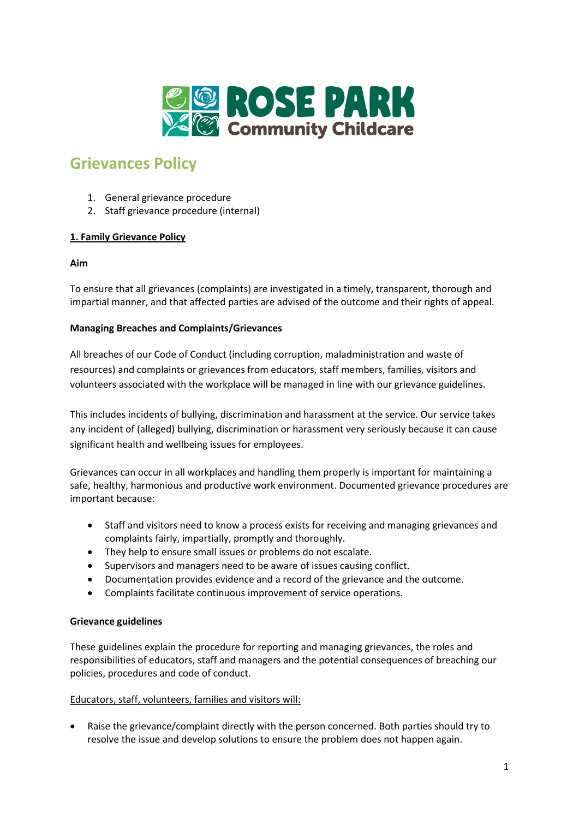

# **Grievances Policy**

- 1. General grievance procedure
- 2. Staff grievance procedure (internal)

## **1. Family Grievance Policy**

## **Aim**

To ensure that all grievances (complaints) are investigated in a timely, transparent, thorough and impartial manner, and that affected parties are advised of the outcome and their rights of appeal.

## **Managing Breaches and Complaints/Grievances**

All breaches of our Code of Conduct (including corruption, maladministration and waste of resources) and complaints or grievances from educators, staff members, families, visitors and volunteers associated with the workplace will be managed in line with our grievance guidelines.

This includes incidents of bullying, discrimination and harassment at the service. Our service takes any incident of (alleged) bullying, discrimination or harassment very seriously because it can cause significant health and wellbeing issues for employees.

Grievances can occur in all workplaces and handling them properly is important for maintaining a safe, healthy, harmonious and productive work environment. Documented grievance procedures are important because:

- Staff and visitors need to know a process exists for receiving and managing grievances and complaints fairly, impartially, promptly and thoroughly.
- They help to ensure small issues or problems do not escalate.
- Supervisors and managers need to be aware of issues causing conflict.
- Documentation provides evidence and a record of the grievance and the outcome.
- Complaints facilitate continuous improvement of service operations.

## **Grievance guidelines**

These guidelines explain the procedure for reporting and managing grievances, the roles and responsibilities of educators, staff and managers and the potential consequences of breaching our policies, procedures and code of conduct.

## Educators, staff, volunteers, families and visitors will:

• Raise the grievance/complaint directly with the person concerned. Both parties should try to resolve the issue and develop solutions to ensure the problem does not happen again.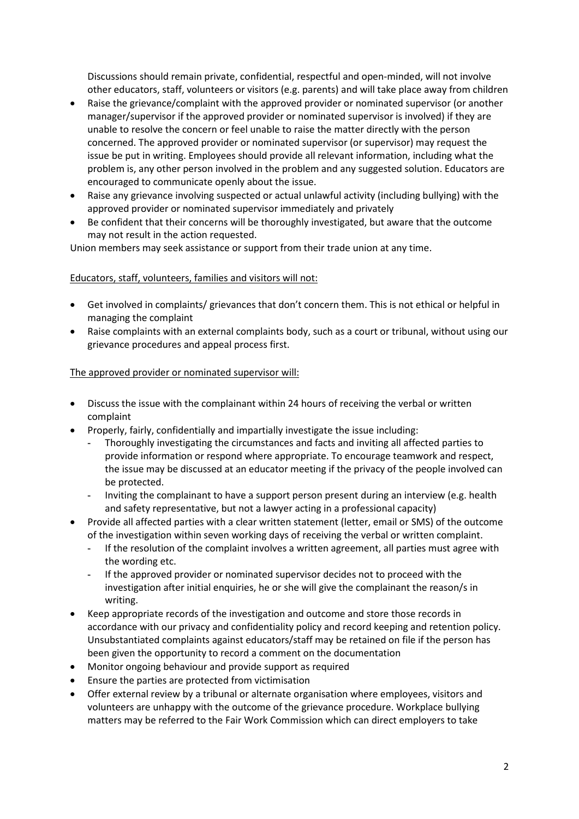Discussions should remain private, confidential, respectful and open-minded, will not involve other educators, staff, volunteers or visitors (e.g. parents) and will take place away from children

- Raise the grievance/complaint with the approved provider or nominated supervisor (or another manager/supervisor if the approved provider or nominated supervisor is involved) if they are unable to resolve the concern or feel unable to raise the matter directly with the person concerned. The approved provider or nominated supervisor (or supervisor) may request the issue be put in writing. Employees should provide all relevant information, including what the problem is, any other person involved in the problem and any suggested solution. Educators are encouraged to communicate openly about the issue.
- Raise any grievance involving suspected or actual unlawful activity (including bullying) with the approved provider or nominated supervisor immediately and privately
- Be confident that their concerns will be thoroughly investigated, but aware that the outcome may not result in the action requested.

Union members may seek assistance or support from their trade union at any time.

## Educators, staff, volunteers, families and visitors will not:

- Get involved in complaints/ grievances that don't concern them. This is not ethical or helpful in managing the complaint
- Raise complaints with an external complaints body, such as a court or tribunal, without using our grievance procedures and appeal process first.

## The approved provider or nominated supervisor will:

- Discuss the issue with the complainant within 24 hours of receiving the verbal or written complaint
- Properly, fairly, confidentially and impartially investigate the issue including:
	- Thoroughly investigating the circumstances and facts and inviting all affected parties to provide information or respond where appropriate. To encourage teamwork and respect, the issue may be discussed at an educator meeting if the privacy of the people involved can be protected.
	- Inviting the complainant to have a support person present during an interview (e.g. health and safety representative, but not a lawyer acting in a professional capacity)
- Provide all affected parties with a clear written statement (letter, email or SMS) of the outcome of the investigation within seven working days of receiving the verbal or written complaint.
	- If the resolution of the complaint involves a written agreement, all parties must agree with the wording etc.
	- If the approved provider or nominated supervisor decides not to proceed with the investigation after initial enquiries, he or she will give the complainant the reason/s in writing.
- Keep appropriate records of the investigation and outcome and store those records in accordance with our privacy and confidentiality policy and record keeping and retention policy. Unsubstantiated complaints against educators/staff may be retained on file if the person has been given the opportunity to record a comment on the documentation
- Monitor ongoing behaviour and provide support as required
- Ensure the parties are protected from victimisation
- Offer external review by a tribunal or alternate organisation where employees, visitors and volunteers are unhappy with the outcome of the grievance procedure. Workplace bullying matters may be referred to the Fair Work Commission which can direct employers to take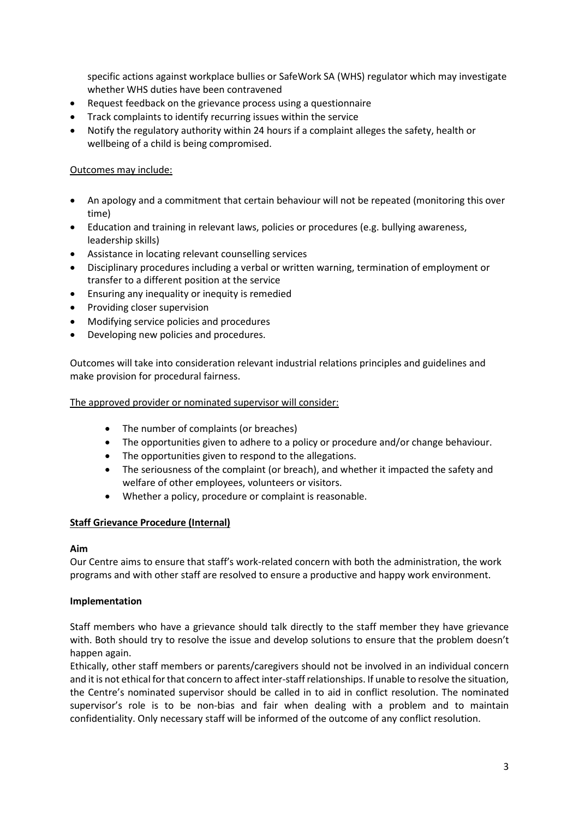specific actions against workplace bullies or SafeWork SA (WHS) regulator which may investigate whether WHS duties have been contravened

- Request feedback on the grievance process using a questionnaire
- Track complaints to identify recurring issues within the service
- Notify the regulatory authority within 24 hours if a complaint alleges the safety, health or wellbeing of a child is being compromised.

#### Outcomes may include:

- An apology and a commitment that certain behaviour will not be repeated (monitoring this over time)
- Education and training in relevant laws, policies or procedures (e.g. bullying awareness, leadership skills)
- Assistance in locating relevant counselling services
- Disciplinary procedures including a verbal or written warning, termination of employment or transfer to a different position at the service
- Ensuring any inequality or inequity is remedied
- Providing closer supervision
- Modifying service policies and procedures
- Developing new policies and procedures.

Outcomes will take into consideration relevant industrial relations principles and guidelines and make provision for procedural fairness.

#### The approved provider or nominated supervisor will consider:

- The number of complaints (or breaches)
- The opportunities given to adhere to a policy or procedure and/or change behaviour.
- The opportunities given to respond to the allegations.
- The seriousness of the complaint (or breach), and whether it impacted the safety and welfare of other employees, volunteers or visitors.
- Whether a policy, procedure or complaint is reasonable.

#### **Staff Grievance Procedure (Internal)**

#### **Aim**

Our Centre aims to ensure that staff's work-related concern with both the administration, the work programs and with other staff are resolved to ensure a productive and happy work environment.

#### **Implementation**

Staff members who have a grievance should talk directly to the staff member they have grievance with. Both should try to resolve the issue and develop solutions to ensure that the problem doesn't happen again.

Ethically, other staff members or parents/caregivers should not be involved in an individual concern and it is not ethical for that concern to affect inter-staff relationships. If unable to resolve the situation, the Centre's nominated supervisor should be called in to aid in conflict resolution. The nominated supervisor's role is to be non-bias and fair when dealing with a problem and to maintain confidentiality. Only necessary staff will be informed of the outcome of any conflict resolution.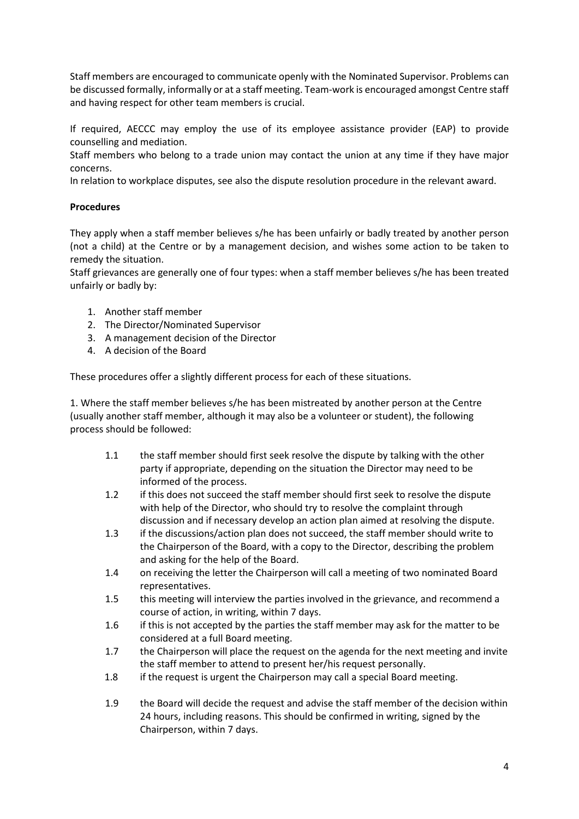Staff members are encouraged to communicate openly with the Nominated Supervisor. Problems can be discussed formally, informally or at a staff meeting. Team-work is encouraged amongst Centre staff and having respect for other team members is crucial.

If required, AECCC may employ the use of its employee assistance provider (EAP) to provide counselling and mediation.

Staff members who belong to a trade union may contact the union at any time if they have major concerns.

In relation to workplace disputes, see also the dispute resolution procedure in the relevant award.

#### **Procedures**

They apply when a staff member believes s/he has been unfairly or badly treated by another person (not a child) at the Centre or by a management decision, and wishes some action to be taken to remedy the situation.

Staff grievances are generally one of four types: when a staff member believes s/he has been treated unfairly or badly by:

- 1. Another staff member
- 2. The Director/Nominated Supervisor
- 3. A management decision of the Director
- 4. A decision of the Board

These procedures offer a slightly different process for each of these situations.

1. Where the staff member believes s/he has been mistreated by another person at the Centre (usually another staff member, although it may also be a volunteer or student), the following process should be followed:

- 1.1 the staff member should first seek resolve the dispute by talking with the other party if appropriate, depending on the situation the Director may need to be informed of the process.
- 1.2 if this does not succeed the staff member should first seek to resolve the dispute with help of the Director, who should try to resolve the complaint through discussion and if necessary develop an action plan aimed at resolving the dispute.
- 1.3 if the discussions/action plan does not succeed, the staff member should write to the Chairperson of the Board, with a copy to the Director, describing the problem and asking for the help of the Board.
- 1.4 on receiving the letter the Chairperson will call a meeting of two nominated Board representatives.
- 1.5 this meeting will interview the parties involved in the grievance, and recommend a course of action, in writing, within 7 days.
- 1.6 if this is not accepted by the parties the staff member may ask for the matter to be considered at a full Board meeting.
- 1.7 the Chairperson will place the request on the agenda for the next meeting and invite the staff member to attend to present her/his request personally.
- 1.8 if the request is urgent the Chairperson may call a special Board meeting.
- 1.9 the Board will decide the request and advise the staff member of the decision within 24 hours, including reasons. This should be confirmed in writing, signed by the Chairperson, within 7 days.